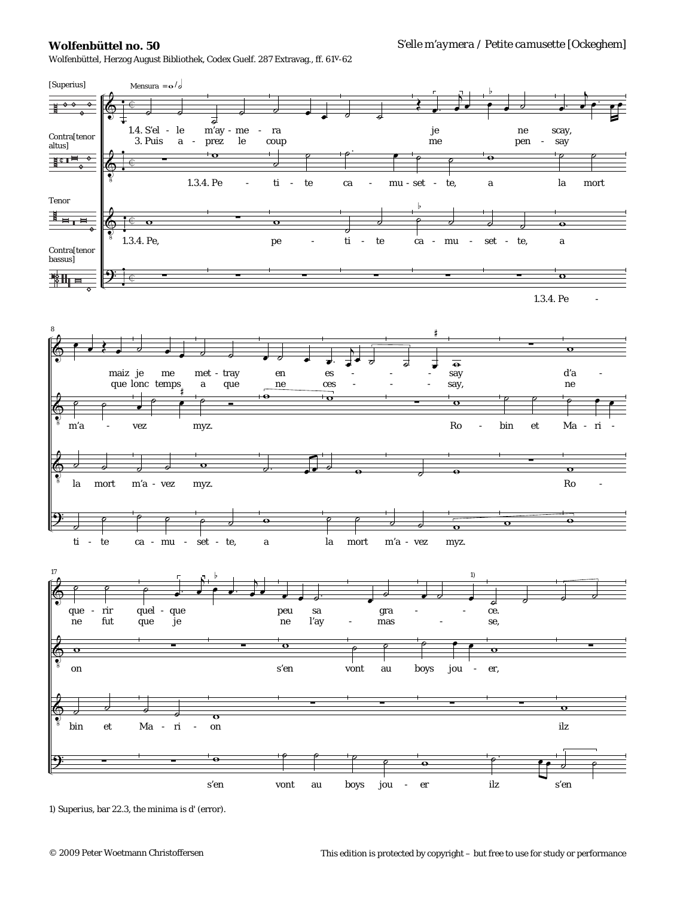## **Wolfenbüttel no. 50**

Wolfenbüttel, Herzog August Bibliothek, Codex Guelf. 287 Extravag., ff. 61v-62



<sup>1)</sup> *Superius,* bar 22.3, the *minima* is *d'* (error).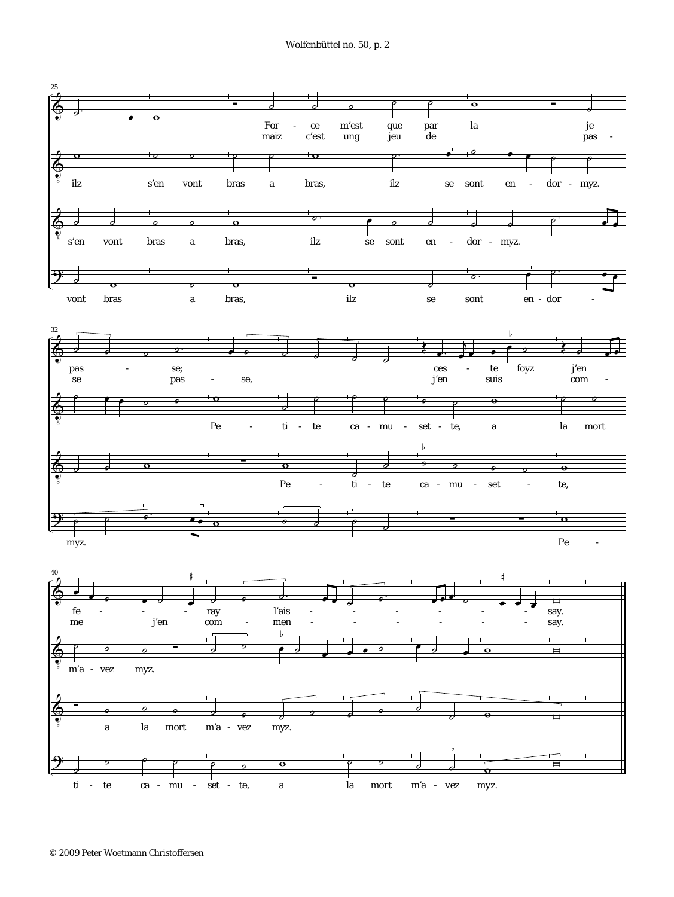Wolfenbüttel no. 50, p. 2

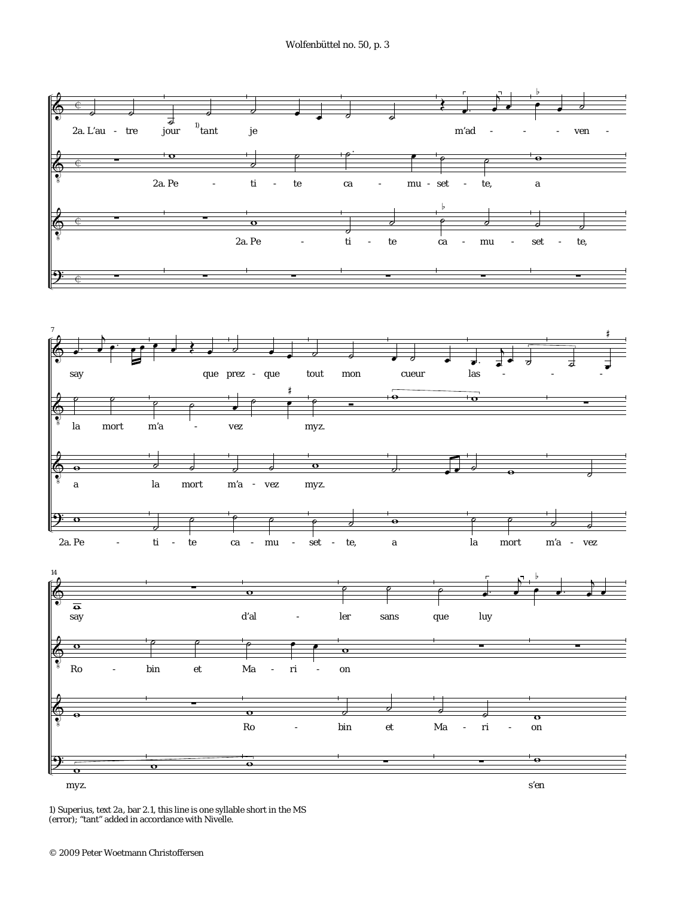

1) *Superius, text 2a,* bar 2.1, this line is one syllable short in the MS (error); "tant" added in accordance with Nivelle.